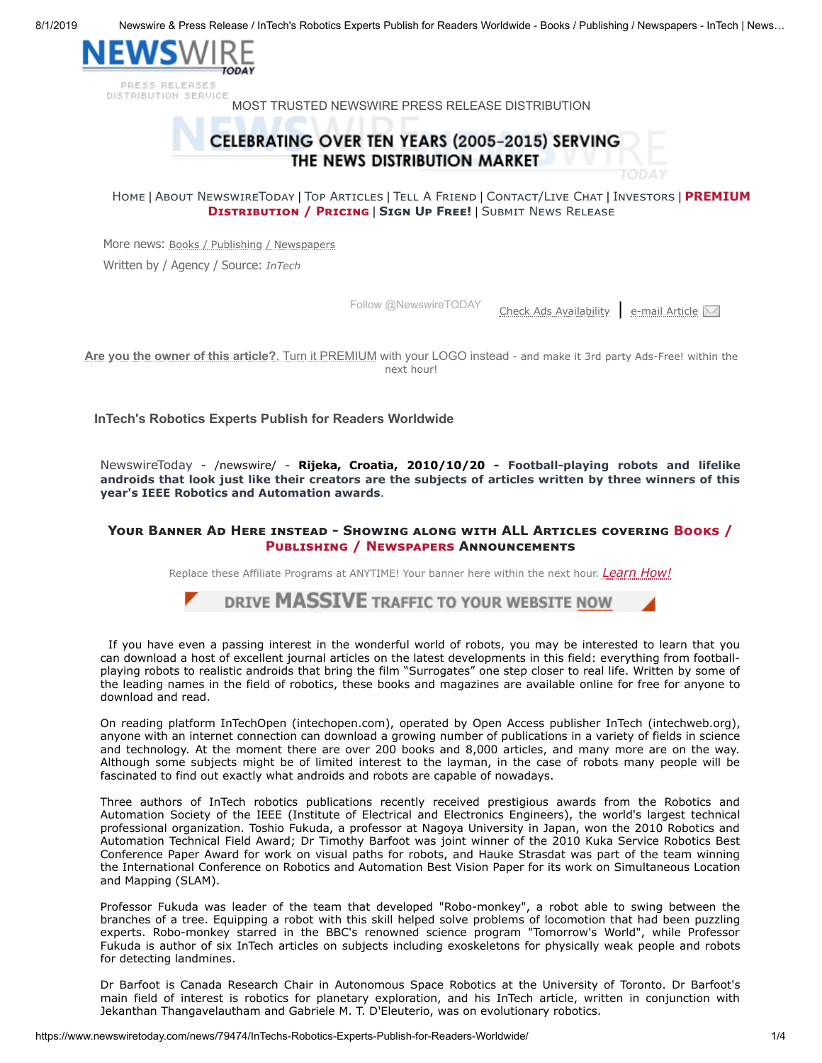8/1/2019 Newswire & Press Release / InTech's Robotics Experts Publish for Readers Worldwide - Books / Publishing / Newspapers - InTech | News…



PRESS RELEASES DISTRIBUTION SERVICE

MOST TRUSTED NEWSWIRE PRESS RELEASE DISTRIBUTION

# CELEBRATING OVER TEN YEARS (2005-2015) SERVING THE NEWS DISTRIBUTION MARKET

[H](https://www.newswiretoday.com/)OME | ABOUT NEWSW[I](https://www.newswiretoday.com/investors.php)RETODAY | TOP ARTICLES | TELL A FRIEND | CONTACT/LIVE CHAT | INVESTORS | PREMIUM **DISTRIBUTION / PRICING | SIGN UP FREE! | SUBMIT NEWS RELEASE** 

More news: [Books / Publishing / Newspapers](https://www.newswiretoday.com/category.php?cat=Books%20/%20Publishing%20/%20Newspapers) Written by / Agency / Source: *[InTech](https://www.newswiretoday.com/company-info/intechweb.org/)*

[Follow @NewswireTODAY](https://twitter.com/intent/follow?original_referer=https%3A%2F%2Fwww.newswiretoday.com%2Fnews%2F79474%2FInTechs-Robotics-Experts-Publish-for-Readers-Worldwide%2F&ref_src=twsrc%5Etfw®ion=follow_link&screen_name=NewswireTODAY&tw_p=followbutton)

[Check Ads Availability](https://www.newswiretoday.com/industry-target-ads.php) | [e-mail Article](javascript:;)

**Are you the owner of this article?**[, Turn it PREMIUM with your LOGO instead](https://www.newswiretoday.com/advertise.php) - and make it 3rd party Ads-Free! within the next hour!

**InTech's Robotics Experts Publish for Readers Worldwide**

[NewswireToday](https://www.newswiretoday.com/) - /newswire/ - **Rijeka, Croatia, 2010/10/20 - Football-playing robots and lifelike androids that look just like their creators are the subjects of articles written by three winners of this year's IEEE Robotics and Automation awards**.

### **YOUR BANNER AD HERE INSTEAD - SHOWING ALONG WITH ALL ARTICLES COVERING BOOKS / PUBLISHING / NEWSPAPERS ANNOUNCEMENTS**

Replace these Affiliate Programs at ANYTIME! Your banner here within the next hour. *[Learn How!](https://www.newswiretoday.com/industry-target-ads.php)*



If you have even a passing interest in the wonderful world of robots, you may be interested to learn that you can download a host of excellent journal articles on the latest developments in this field: everything from footballplaying robots to realistic androids that bring the film "Surrogates" one step closer to real life. Written by some of the leading names in the field of robotics, these books and magazines are available online for free for anyone to download and read.

On reading platform InTechOpen (intechopen.com), operated by Open Access publisher InTech (intechweb.org), anyone with an internet connection can download a growing number of publications in a variety of fields in science and technology. At the moment there are over 200 books and 8,000 articles, and many more are on the way. Although some subjects might be of limited interest to the layman, in the case of robots many people will be fascinated to find out exactly what androids and robots are capable of nowadays.

Three authors of InTech robotics publications recently received prestigious awards from the Robotics and Automation Society of the IEEE (Institute of Electrical and Electronics Engineers), the world's largest technical professional organization. Toshio Fukuda, a professor at Nagoya University in Japan, won the 2010 Robotics and Automation Technical Field Award; Dr Timothy Barfoot was joint winner of the 2010 Kuka Service Robotics Best Conference Paper Award for work on visual paths for robots, and Hauke Strasdat was part of the team winning the International Conference on Robotics and Automation Best Vision Paper for its work on Simultaneous Location and Mapping (SLAM).

Professor Fukuda was leader of the team that developed "Robo-monkey", a robot able to swing between the branches of a tree. Equipping a robot with this skill helped solve problems of locomotion that had been puzzling experts. Robo-monkey starred in the BBC's renowned science program "Tomorrow's World", while Professor Fukuda is author of six InTech articles on subjects including exoskeletons for physically weak people and robots for detecting landmines.

Dr Barfoot is Canada Research Chair in Autonomous Space Robotics at the University of Toronto. Dr Barfoot's main field of interest is robotics for planetary exploration, and his InTech article, written in conjunction with Jekanthan Thangavelautham and Gabriele M. T. D'Eleuterio, was on evolutionary robotics.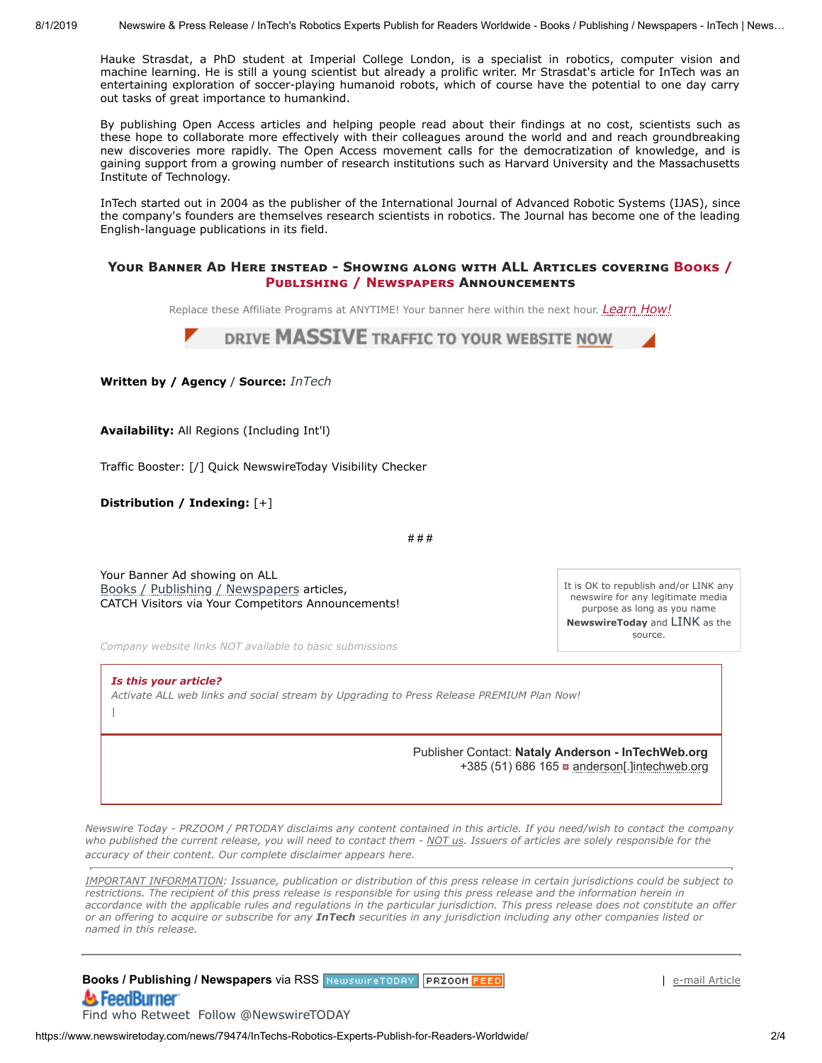Hauke Strasdat, a PhD student at Imperial College London, is a specialist in robotics, computer vision and machine learning. He is still a young scientist but already a prolific writer. Mr Strasdat's article for InTech was an entertaining exploration of soccer-playing humanoid robots, which of course have the potential to one day carry out tasks of great importance to humankind.

By publishing Open Access articles and helping people read about their findings at no cost, scientists such as these hope to collaborate more effectively with their colleagues around the world and and reach groundbreaking new discoveries more rapidly. The Open Access movement calls for the democratization of knowledge, and is gaining support from a growing number of research institutions such as Harvard University and the Massachusetts Institute of Technology.

InTech started out in 2004 as the publisher of the International Journal of Advanced Robotic Systems (IJAS), since the company's founders are themselves research scientists in robotics. The Journal has become one of the leading English-language publications in its field.

#### **YOUR BANNER AD HERE INSTEAD - SHOWING ALONG WITH ALL ARTICLES COVERING BOOKS / PUBLISHING / NEWSPAPERS ANNOUNCEMENTS**

Replace these Affiliate Programs at ANYTIME! Your banner here within the next hour. *[Learn How!](https://www.newswiretoday.com/industry-target-ads.php)*



**Written by / Agency** / **Source:** *[InTech](https://www.newswiretoday.com/company-info/intechweb.org/)*

**Availability:** All Regions (Including Int'l)

Traffic Booster: [/] [Quick NewswireToday](https://www.newswiretoday.com/advertise.php) Visibility Checker

**Distribution / Indexing:** [+]

|

# # #

Your Banner Ad showing on ALL [Books / Publishing / Newspapers](https://www.newswiretoday.com/advertise.php#targetads) articles, CATCH Visitors via Your Competitors Announcements!

*Company website links NOT available to basic submissions*

*Is this your article? [Activate ALL web links and social stream by Upgrading to Press Release PREMIUM Plan Now!](https://www.newswiretoday.com/advertise.php)*

> Publisher Contact: **Nataly Anderson - InTechWeb.org** +385 (51) 686 165 **a** anderson[.]intechweb.org

It is OK to republish and/or LINK any newswire for any legitimate media purpose as long as you name **NewswireToday** and [LINK](https://www.newswiretoday.com/news/79474/) as the source.

*Newswire Today - PRZOOM / PRTODAY disclaims any content contained in this article. If you need/wish to contact the company who published the current release, you will need to contact them - NOT us. Issuers of articles are solely responsible for the accuracy of their content. Our complete disclaimer appears [here](https://www.newswiretoday.com/disclaimer.php).*

*IMPORTANT INFORMATION: Issuance, publication or distribution of this press release in certain jurisdictions could be subject to restrictions. The recipient of this press release is responsible for using this press release and the information herein in accordance with the applicable rules and regulations in the particular jurisdiction. This press release does not constitute an offer or an offering to acquire or subscribe for any InTech securities in any jurisdiction including any other companies listed or named in this release.*

**Books / Publishing / Newspapers** via RSS NewswireTODAY PRZ00M FEED A FeedBurner

[e-mail Article](javascript:;)

[Find who Retweet](http://twitter.com/#!/search/realtime/newswiretoday) [Follow @NewswireTODAY](https://twitter.com/NewswireTODAY)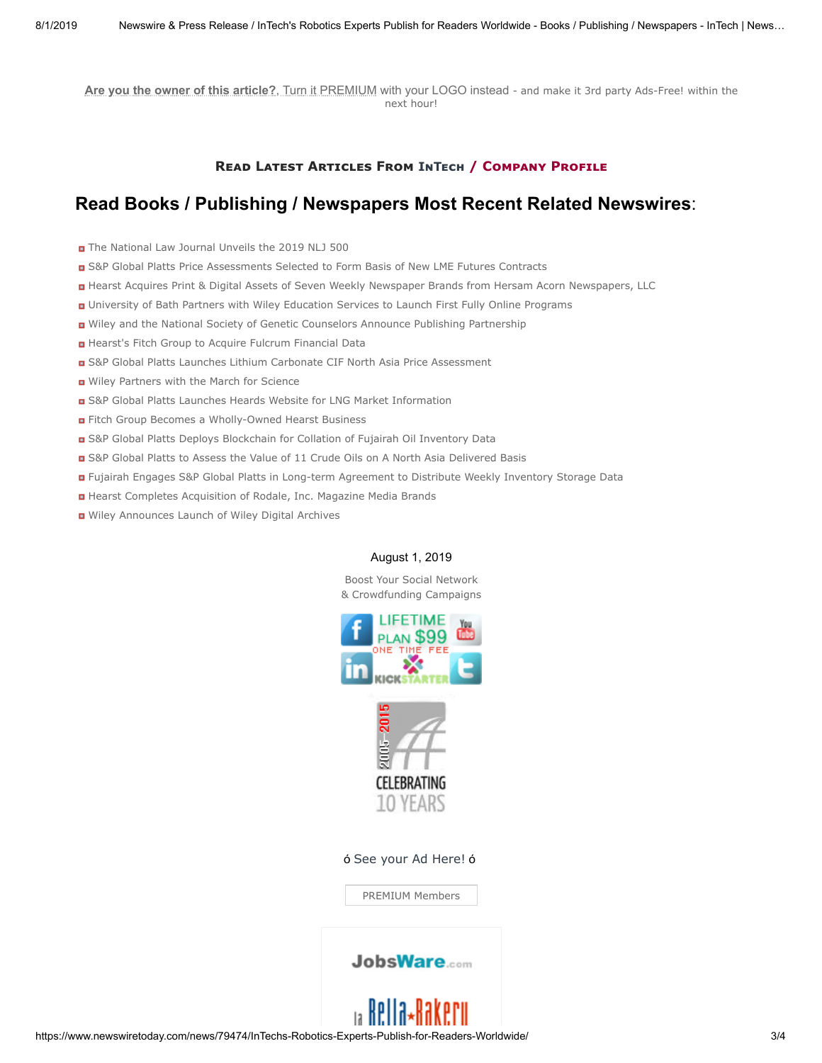**Are you the owner of this article?**[, Turn it PREMIUM with your LOGO instead](https://www.newswiretoday.com/advertise.php) - and make it 3rd party Ads-Free! within the next hour!

## **READ LATEST ARTICLES FROM INTECH / COMPANY PROFILE**

## **Read Books / Publishing / Newspapers Most Recent Related Newswires**:

- [The National Law Journal Unveils the 2019 NLJ 500](https://www.newswiretoday.com/news/170724/)
- [S&P Global Platts Price Assessments Selected to Form Basis of New LME Futures Contracts](https://www.newswiretoday.com/news/169035/)
- [Hearst Acquires Print & Digital Assets of Seven Weekly Newspaper Brands from Hersam Acorn Newspapers, LLC](https://www.newswiretoday.com/news/168267/)
- [University of Bath Partners with Wiley Education Services to Launch First Fully Online Programs](https://www.newswiretoday.com/news/168232/)
- [Wiley and the National Society of Genetic Counselors Announce Publishing Partnership](https://www.newswiretoday.com/news/167571/)
- [Hearst's Fitch Group to Acquire Fulcrum Financial Data](https://www.newswiretoday.com/news/167102/)
- [S&P Global Platts Launches Lithium Carbonate CIF North Asia Price Assessment](https://www.newswiretoday.com/news/167048/)
- [Wiley Partners with the March for Science](https://www.newswiretoday.com/news/166717/)
- [S&P Global Platts Launches Heards Website for LNG Market Information](https://www.newswiretoday.com/news/166713/)
- **n** [Fitch Group Becomes a Wholly-Owned Hearst Business](https://www.newswiretoday.com/news/166706/)
- [S&P Global Platts Deploys Blockchain for Collation of Fujairah Oil Inventory Data](https://www.newswiretoday.com/news/166266/)
- [S&P Global Platts to Assess the Value of 11 Crude Oils on A North Asia Delivered Basis](https://www.newswiretoday.com/news/166229/)
- [Fujairah Engages S&P Global Platts in Long-term Agreement to Distribute Weekly Inventory Storage Data](https://www.newswiretoday.com/news/166084/)
- [Hearst Completes Acquisition of Rodale, Inc. Magazine Media Brands](https://www.newswiretoday.com/news/165903/)
- [Wiley Announces Launch of Wiley Digital Archives](https://www.newswiretoday.com/news/165390/)

#### August 1, 2019

Boost Your Social Network [& Crowdfunding Campaigns](https://www.newswiretoday.com/advertise.php)





ó [See your Ad Here!](https://www.newswiretoday.com/advertise.php#logoperm) ó

[PREMIUM Members](https://www.newswiretoday.com/directory.php)